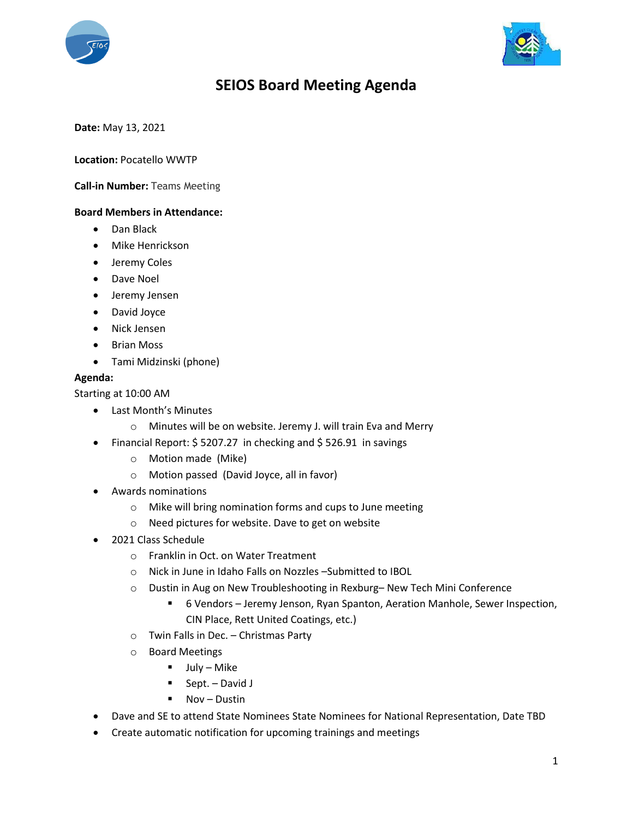



# **SEIOS Board Meeting Agenda**

**Date:** May 13, 2021

## **Location:** Pocatello WWTP

#### **Call-in Number:** Teams Meeting

### **Board Members in Attendance:**

- Dan Black
- Mike Henrickson
- **•** Jeremy Coles
- Dave Noel
- Jeremy Jensen
- David Joyce
- Nick Jensen
- Brian Moss
- Tami Midzinski (phone)

## **Agenda:**

Starting at 10:00 AM

- Last Month's Minutes
	- o Minutes will be on website. Jeremy J. will train Eva and Merry
- Financial Report: \$5207.27 in checking and \$526.91 in savings
	- o Motion made (Mike)
	- o Motion passed (David Joyce, all in favor)
- Awards nominations
	- o Mike will bring nomination forms and cups to June meeting
	- o Need pictures for website. Dave to get on website
- 2021 Class Schedule
	- o Franklin in Oct. on Water Treatment
	- o Nick in June in Idaho Falls on Nozzles –Submitted to IBOL
	- o Dustin in Aug on New Troubleshooting in Rexburg– New Tech Mini Conference
		- 6 Vendors Jeremy Jenson, Ryan Spanton, Aeration Manhole, Sewer Inspection, CIN Place, Rett United Coatings, etc.)
	- o Twin Falls in Dec. Christmas Party
	- o Board Meetings
		- $-$  July Mike
		- $\blacksquare$  Sept. David J
		- Nov Dustin
- Dave and SE to attend State Nominees State Nominees for National Representation, Date TBD
- Create automatic notification for upcoming trainings and meetings